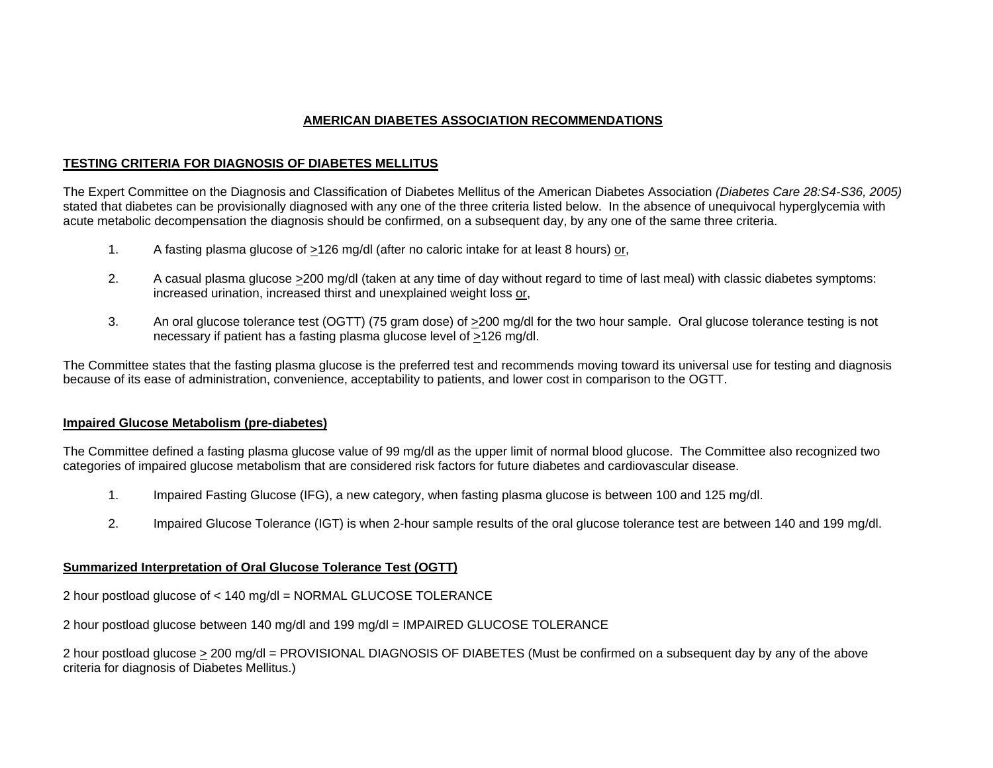## **AMERICAN DIABETES ASSOCIATION RECOMMENDATIONS**

## **TESTING CRITERIA FOR DIAGNOSIS OF DIABETES MELLITUS**

The Expert Committee on the Diagnosis and Classification of Diabetes Mellitus of the American Diabetes Association *(Diabetes Care 28:S4-S36, 2005)* stated that diabetes can be provisionally diagnosed with any one of the three criteria listed below. In the absence of unequivocal hyperglycemia with acute metabolic decompensation the diagnosis should be confirmed, on a subsequent day, by any one of the same three criteria.

- 1. A fasting plasma glucose of >126 mg/dl (after no caloric intake for at least 8 hours) or,
- 2. A casual plasma glucose >200 mg/dl (taken at any time of day without regard to time of last meal) with classic diabetes symptoms: increased urination, increased thirst and unexplained weight loss or,
- 3. An oral glucose tolerance test (OGTT) (75 gram dose) of  $\geq$ 200 mg/dl for the two hour sample. Oral glucose tolerance testing is not necessary if patient has a fasting plasma glucose level of >126 mg/dl.

The Committee states that the fasting plasma glucose is the preferred test and recommends moving toward its universal use for testing and diagnosis because of its ease of administration, convenience, acceptability to patients, and lower cost in comparison to the OGTT.

## **Impaired Glucose Metabolism (pre-diabetes)**

The Committee defined a fasting plasma glucose value of 99 mg/dl as the upper limit of normal blood glucose. The Committee also recognized two categories of impaired glucose metabolism that are considered risk factors for future diabetes and cardiovascular disease.

- 1. Impaired Fasting Glucose (IFG), a new category, when fasting plasma glucose is between 100 and 125 mg/dl.
- 2. Impaired Glucose Tolerance (IGT) is when 2-hour sample results of the oral glucose tolerance test are between 140 and 199 mg/dl.

## **Summarized Interpretation of Oral Glucose Tolerance Test (OGTT)**

2 hour postload glucose of < 140 mg/dl = NORMAL GLUCOSE TOLERANCE

2 hour postload glucose between 140 mg/dl and 199 mg/dl = IMPAIRED GLUCOSE TOLERANCE

2 hour postload glucose > 200 mg/dl = PROVISIONAL DIAGNOSIS OF DIABETES (Must be confirmed on a subsequent day by any of the above criteria for diagnosis of Diabetes Mellitus.)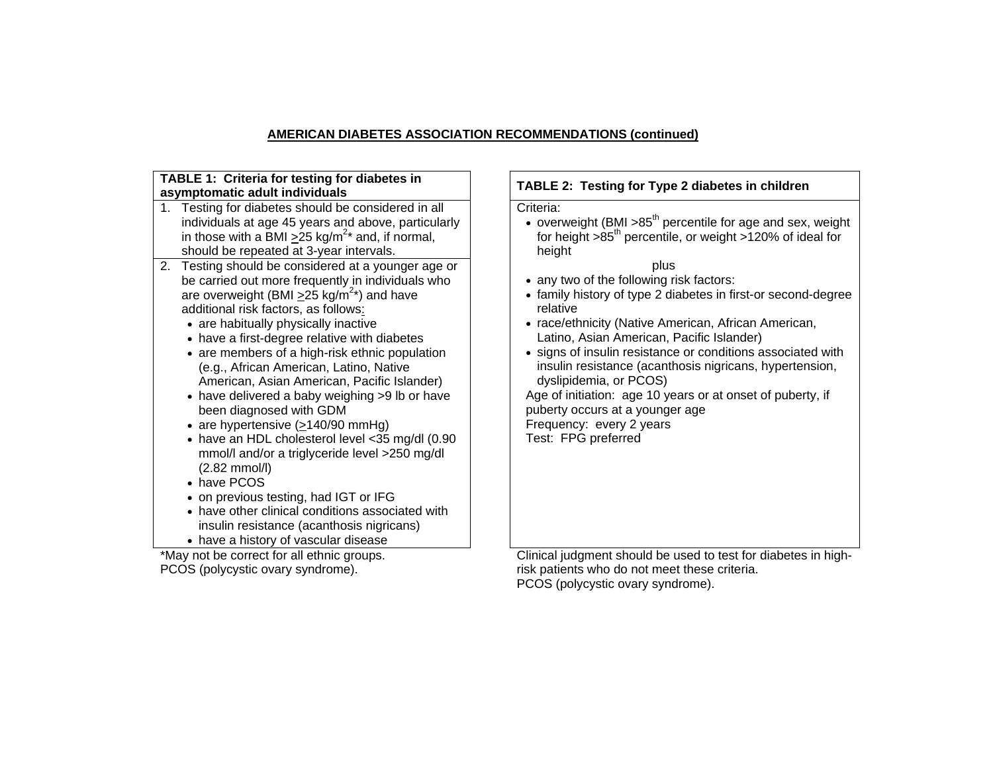# **AMERICAN DIABETES ASSOCIATION RECOMMENDATIONS (continued)**

| TABLE 1: Criteria for testing for diabetes in                                                                                                                                                                                                                                                                                                                                                                                                                                                                                                                                                                                                                                                                                                                                                                                                                                                                                                                                                                                                                                                                                                                                   | TABLE 2: Testing for Type 2 diabetes in children                                                                                                                                                                                                                                                                                                                                                                                                                                                                                                                                                                                                                                                                 |
|---------------------------------------------------------------------------------------------------------------------------------------------------------------------------------------------------------------------------------------------------------------------------------------------------------------------------------------------------------------------------------------------------------------------------------------------------------------------------------------------------------------------------------------------------------------------------------------------------------------------------------------------------------------------------------------------------------------------------------------------------------------------------------------------------------------------------------------------------------------------------------------------------------------------------------------------------------------------------------------------------------------------------------------------------------------------------------------------------------------------------------------------------------------------------------|------------------------------------------------------------------------------------------------------------------------------------------------------------------------------------------------------------------------------------------------------------------------------------------------------------------------------------------------------------------------------------------------------------------------------------------------------------------------------------------------------------------------------------------------------------------------------------------------------------------------------------------------------------------------------------------------------------------|
| asymptomatic adult individuals<br>1. Testing for diabetes should be considered in all<br>individuals at age 45 years and above, particularly<br>in those with a BMI $\geq$ 25 kg/m <sup>2*</sup> and, if normal,<br>should be repeated at 3-year intervals.<br>Testing should be considered at a younger age or<br>2.<br>be carried out more frequently in individuals who<br>are overweight (BMI $\geq$ 25 kg/m <sup>2*</sup> ) and have<br>additional risk factors, as follows:<br>• are habitually physically inactive<br>• have a first-degree relative with diabetes<br>• are members of a high-risk ethnic population<br>(e.g., African American, Latino, Native<br>American, Asian American, Pacific Islander)<br>• have delivered a baby weighing >9 lb or have<br>been diagnosed with GDM<br>• are hypertensive $( \geq 140/90 \text{ mmHg} )$<br>• have an HDL cholesterol level <35 mg/dl (0.90<br>mmol/l and/or a triglyceride level >250 mg/dl<br>$(2.82$ mmol/l)<br>• have PCOS<br>• on previous testing, had IGT or IFG<br>• have other clinical conditions associated with<br>insulin resistance (acanthosis nigricans)<br>• have a history of vascular disease | Criteria:<br>• overweight (BMI >85 <sup>th</sup> percentile for age and sex, weight<br>for height $>85^{th}$ percentile, or weight $>120\%$ of ideal for<br>height<br>plus<br>• any two of the following risk factors:<br>• family history of type 2 diabetes in first-or second-degree<br>relative<br>• race/ethnicity (Native American, African American,<br>Latino, Asian American, Pacific Islander)<br>• signs of insulin resistance or conditions associated with<br>insulin resistance (acanthosis nigricans, hypertension,<br>dyslipidemia, or PCOS)<br>Age of initiation: age 10 years or at onset of puberty, if<br>puberty occurs at a younger age<br>Frequency: every 2 years<br>Test: FPG preferred |
| *May not be correct for all ethnic groups                                                                                                                                                                                                                                                                                                                                                                                                                                                                                                                                                                                                                                                                                                                                                                                                                                                                                                                                                                                                                                                                                                                                       | Clinical judgment should be used to test for diabetes in bigh-                                                                                                                                                                                                                                                                                                                                                                                                                                                                                                                                                                                                                                                   |

\*May not be correct for all ethnic groups. PCOS (polycystic ovary syndrome).

 Clinical judgment should be used to test for diabetes in highrisk patients who do not meet these criteria. PCOS (polycystic ovary syndrome).